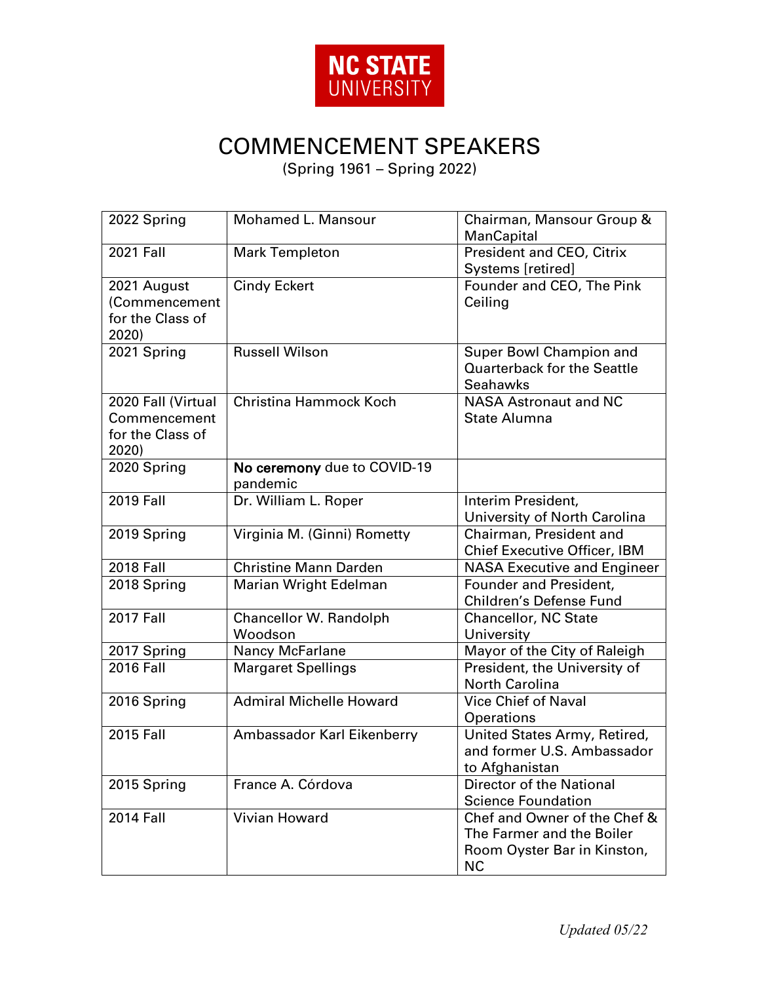

## COMMENCEMENT SPEAKERS

(Spring 1961 – Spring 2022)

| 2022 Spring                                                     | Mohamed L. Mansour                      | Chairman, Mansour Group &<br>ManCapital                                                               |
|-----------------------------------------------------------------|-----------------------------------------|-------------------------------------------------------------------------------------------------------|
| <b>2021 Fall</b>                                                | <b>Mark Templeton</b>                   | President and CEO, Citrix<br>Systems [retired]                                                        |
| 2021 August<br>(Commencement<br>for the Class of<br>2020)       | <b>Cindy Eckert</b>                     | Founder and CEO, The Pink<br>Ceiling                                                                  |
| 2021 Spring                                                     | <b>Russell Wilson</b>                   | Super Bowl Champion and<br><b>Quarterback for the Seattle</b><br><b>Seahawks</b>                      |
| 2020 Fall (Virtual<br>Commencement<br>for the Class of<br>2020) | Christina Hammock Koch                  | <b>NASA Astronaut and NC</b><br><b>State Alumna</b>                                                   |
| 2020 Spring                                                     | No ceremony due to COVID-19<br>pandemic |                                                                                                       |
| <b>2019 Fall</b>                                                | Dr. William L. Roper                    | Interim President,<br>University of North Carolina                                                    |
| 2019 Spring                                                     | Virginia M. (Ginni) Rometty             | Chairman, President and<br><b>Chief Executive Officer, IBM</b>                                        |
| <b>2018 Fall</b>                                                | <b>Christine Mann Darden</b>            | <b>NASA Executive and Engineer</b>                                                                    |
| 2018 Spring                                                     | <b>Marian Wright Edelman</b>            | Founder and President,<br>Children's Defense Fund                                                     |
| <b>2017 Fall</b>                                                | Chancellor W. Randolph<br>Woodson       | <b>Chancellor, NC State</b><br>University                                                             |
| 2017 Spring                                                     | Nancy McFarlane                         | Mayor of the City of Raleigh                                                                          |
| <b>2016 Fall</b>                                                | <b>Margaret Spellings</b>               | President, the University of<br><b>North Carolina</b>                                                 |
| 2016 Spring                                                     | <b>Admiral Michelle Howard</b>          | <b>Vice Chief of Naval</b><br>Operations                                                              |
| 2015 Fall                                                       | Ambassador Karl Eikenberry              | United States Army, Retired,<br>and former U.S. Ambassador<br>to Afghanistan                          |
| 2015 Spring                                                     | France A. Córdova                       | Director of the National<br><b>Science Foundation</b>                                                 |
| <b>2014 Fall</b>                                                | Vivian Howard                           | Chef and Owner of the Chef &<br>The Farmer and the Boiler<br>Room Oyster Bar in Kinston,<br><b>NC</b> |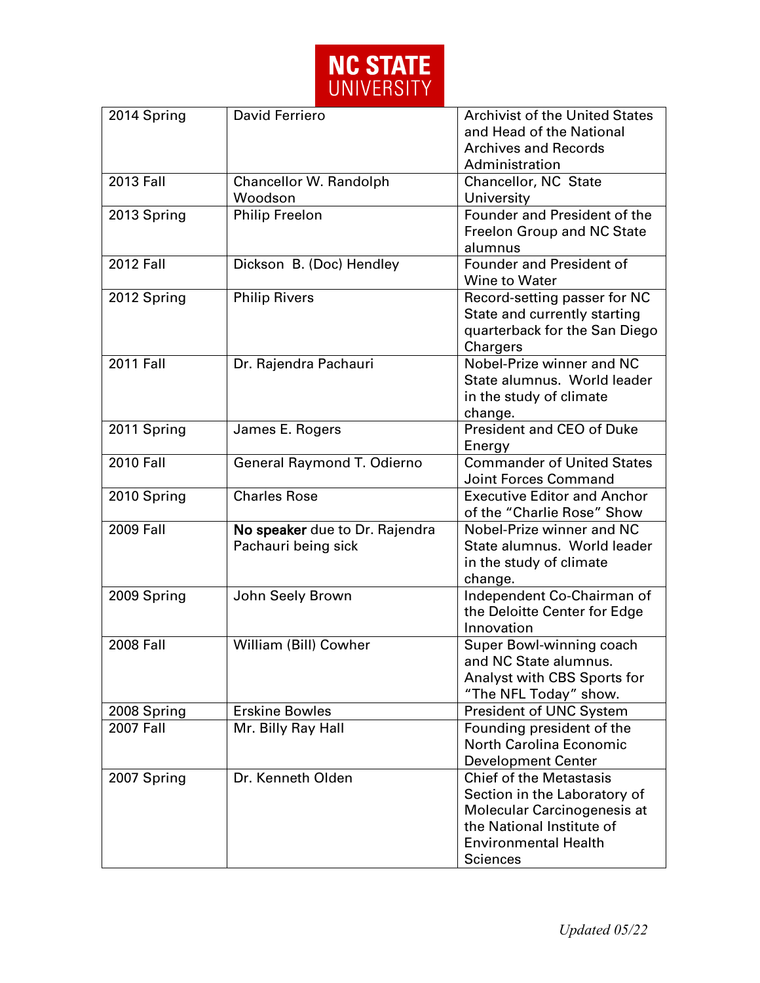

| 2014 Spring      | David Ferriero                                        | <b>Archivist of the United States</b><br>and Head of the National<br><b>Archives and Records</b><br>Administration                                                           |
|------------------|-------------------------------------------------------|------------------------------------------------------------------------------------------------------------------------------------------------------------------------------|
| <b>2013 Fall</b> | Chancellor W. Randolph<br>Woodson                     | Chancellor, NC State<br>University                                                                                                                                           |
| 2013 Spring      | <b>Philip Freelon</b>                                 | Founder and President of the<br>Freelon Group and NC State<br>alumnus                                                                                                        |
| <b>2012 Fall</b> | Dickson B. (Doc) Hendley                              | <b>Founder and President of</b><br>Wine to Water                                                                                                                             |
| 2012 Spring      | <b>Philip Rivers</b>                                  | Record-setting passer for NC<br>State and currently starting<br>quarterback for the San Diego<br>Chargers                                                                    |
| <b>2011 Fall</b> | Dr. Rajendra Pachauri                                 | Nobel-Prize winner and NC<br>State alumnus. World leader<br>in the study of climate<br>change.                                                                               |
| 2011 Spring      | James E. Rogers                                       | <b>President and CEO of Duke</b><br>Energy                                                                                                                                   |
| <b>2010 Fall</b> | General Raymond T. Odierno                            | <b>Commander of United States</b><br>Joint Forces Command                                                                                                                    |
| 2010 Spring      | <b>Charles Rose</b>                                   | <b>Executive Editor and Anchor</b><br>of the "Charlie Rose" Show                                                                                                             |
| <b>2009 Fall</b> | No speaker due to Dr. Rajendra<br>Pachauri being sick | Nobel-Prize winner and NC<br>State alumnus. World leader<br>in the study of climate<br>change.                                                                               |
| 2009 Spring      | John Seely Brown                                      | Independent Co-Chairman of<br>the Deloitte Center for Edge<br>Innovation                                                                                                     |
| <b>2008 Fall</b> | William (Bill) Cowher                                 | Super Bowl-winning coach<br>and NC State alumnus.<br>Analyst with CBS Sports for<br>"The NFL Today" show.                                                                    |
| 2008 Spring      | <b>Erskine Bowles</b>                                 | President of UNC System                                                                                                                                                      |
| <b>2007 Fall</b> | Mr. Billy Ray Hall                                    | Founding president of the<br><b>North Carolina Economic</b><br><b>Development Center</b>                                                                                     |
| 2007 Spring      | Dr. Kenneth Olden                                     | <b>Chief of the Metastasis</b><br>Section in the Laboratory of<br>Molecular Carcinogenesis at<br>the National Institute of<br><b>Environmental Health</b><br><b>Sciences</b> |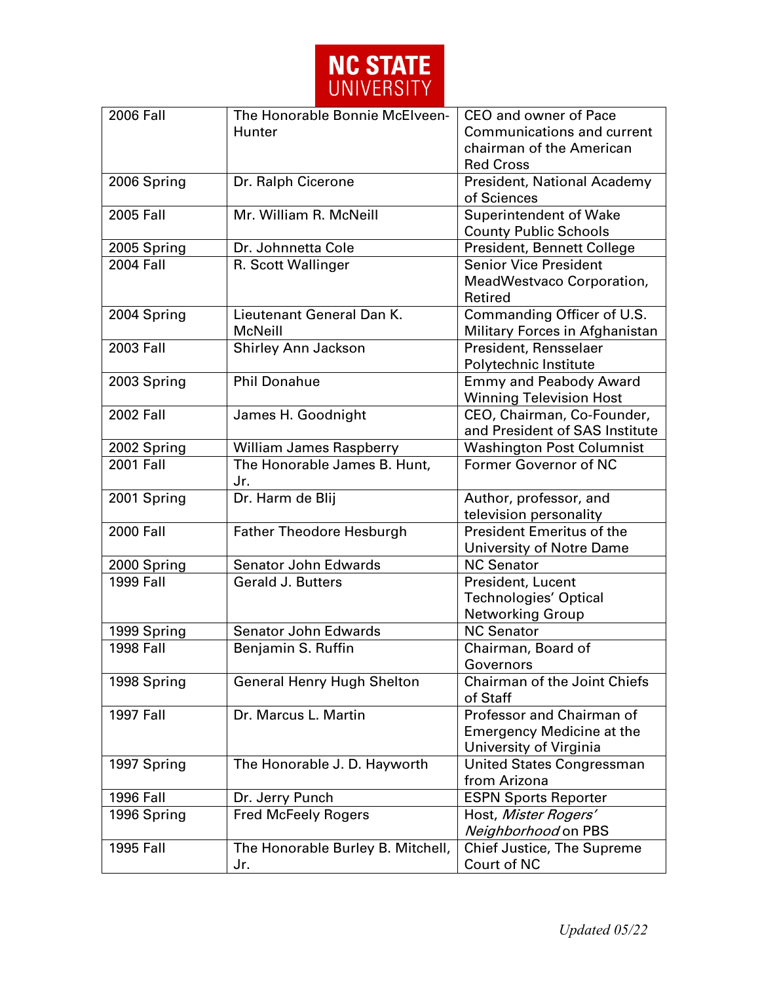

| 2006 Fall              | The Honorable Bonnie McElveen-      | CEO and owner of Pace                    |
|------------------------|-------------------------------------|------------------------------------------|
|                        | Hunter                              | Communications and current               |
|                        |                                     | chairman of the American                 |
|                        |                                     | <b>Red Cross</b>                         |
| 2006 Spring            | Dr. Ralph Cicerone                  | President, National Academy              |
|                        |                                     | of Sciences                              |
| 2005 Fall              | Mr. William R. McNeill              | <b>Superintendent of Wake</b>            |
|                        |                                     | <b>County Public Schools</b>             |
| 2005 Spring            | Dr. Johnnetta Cole                  | President, Bennett College               |
| $2004$ Fall            | R. Scott Wallinger                  | <b>Senior Vice President</b>             |
|                        |                                     | MeadWestvaco Corporation,                |
|                        |                                     | Retired                                  |
| 2004 Spring            | Lieutenant General Dan K.           | Commanding Officer of U.S.               |
|                        | <b>McNeill</b>                      | Military Forces in Afghanistan           |
| 2003 Fall              | Shirley Ann Jackson                 | President, Rensselaer                    |
|                        |                                     | Polytechnic Institute                    |
| 2003 Spring            | <b>Phil Donahue</b>                 | <b>Emmy and Peabody Award</b>            |
|                        |                                     | <b>Winning Television Host</b>           |
| <b>2002 Fall</b>       | James H. Goodnight                  | CEO, Chairman, Co-Founder,               |
|                        |                                     | and President of SAS Institute           |
| 2002 Spring            | William James Raspberry             | <b>Washington Post Columnist</b>         |
| <b>2001 Fall</b>       | The Honorable James B. Hunt,<br>Jr. | Former Governor of NC                    |
| 2001 Spring            | Dr. Harm de Blij                    | Author, professor, and                   |
|                        |                                     | television personality                   |
| <b>2000 Fall</b>       | <b>Father Theodore Hesburgh</b>     | <b>President Emeritus of the</b>         |
|                        |                                     | University of Notre Dame                 |
| 2000 Spring            | <b>Senator John Edwards</b>         | <b>NC Senator</b>                        |
| $\overline{1999}$ Fall | <b>Gerald J. Butters</b>            | President, Lucent                        |
|                        |                                     | <b>Technologies' Optical</b>             |
|                        |                                     | <b>Networking Group</b>                  |
| 1999 Spring            | Senator John Edwards                | <b>NC Senator</b>                        |
| <b>1998 Fall</b>       | Benjamin S. Ruffin                  | Chairman, Board of                       |
|                        |                                     | Governors                                |
| 1998 Spring            | <b>General Henry Hugh Shelton</b>   | Chairman of the Joint Chiefs<br>of Staff |
| <b>1997 Fall</b>       | Dr. Marcus L. Martin                | Professor and Chairman of                |
|                        |                                     | <b>Emergency Medicine at the</b>         |
|                        |                                     | University of Virginia                   |
| 1997 Spring            | The Honorable J. D. Hayworth        | United States Congressman                |
|                        |                                     | from Arizona                             |
| <b>1996 Fall</b>       | Dr. Jerry Punch                     | <b>ESPN Sports Reporter</b>              |
| 1996 Spring            | <b>Fred McFeely Rogers</b>          | Host, Mister Rogers'                     |
|                        |                                     | Neighborhood on PBS                      |
| 1995 Fall              | The Honorable Burley B. Mitchell,   | Chief Justice, The Supreme               |
|                        | Jr.                                 | Court of NC                              |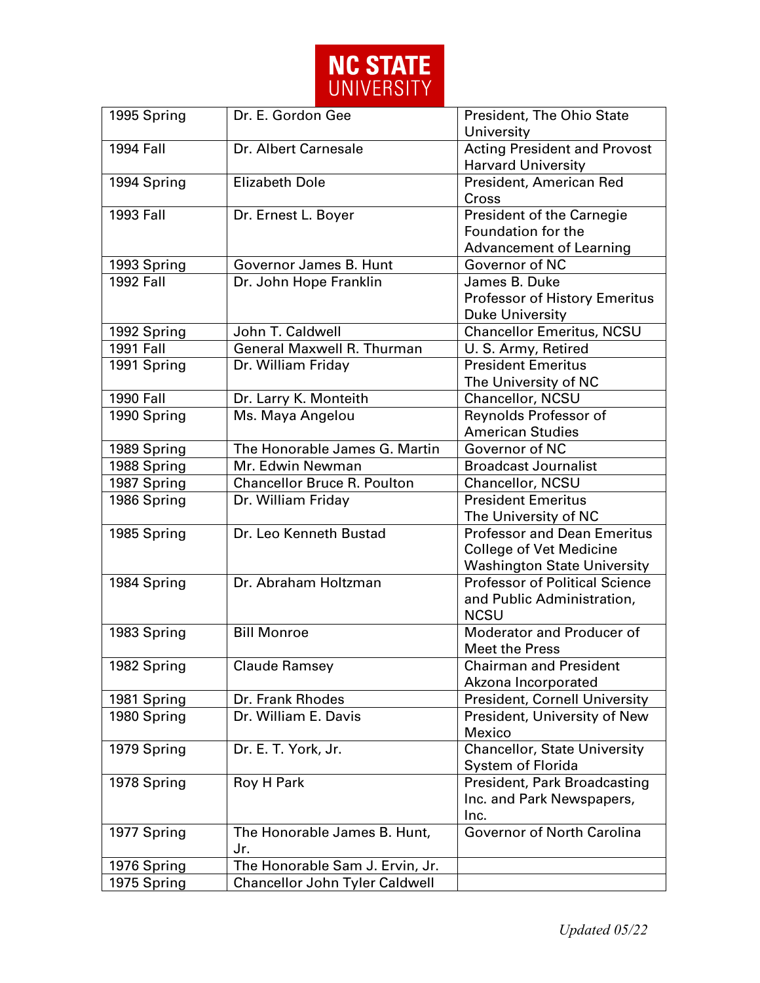

| 1995 Spring      | Dr. E. Gordon Gee                  | President, The Ohio State<br>University                          |
|------------------|------------------------------------|------------------------------------------------------------------|
| <b>1994 Fall</b> | Dr. Albert Carnesale               | <b>Acting President and Provost</b><br><b>Harvard University</b> |
|                  | <b>Elizabeth Dole</b>              |                                                                  |
| 1994 Spring      |                                    | President, American Red<br>Cross                                 |
| 1993 Fall        | Dr. Ernest L. Boyer                | President of the Carnegie                                        |
|                  |                                    | Foundation for the                                               |
|                  |                                    | <b>Advancement of Learning</b>                                   |
| 1993 Spring      | Governor James B. Hunt             | Governor of NC                                                   |
| <b>1992 Fall</b> | Dr. John Hope Franklin             | James B. Duke                                                    |
|                  |                                    | <b>Professor of History Emeritus</b>                             |
|                  |                                    | <b>Duke University</b>                                           |
| 1992 Spring      | John T. Caldwell                   | <b>Chancellor Emeritus, NCSU</b>                                 |
| <b>1991 Fall</b> | General Maxwell R. Thurman         | U. S. Army, Retired                                              |
| 1991 Spring      | Dr. William Friday                 | <b>President Emeritus</b>                                        |
|                  |                                    | The University of NC                                             |
| <b>1990 Fall</b> | Dr. Larry K. Monteith              | Chancellor, NCSU                                                 |
| 1990 Spring      | Ms. Maya Angelou                   | Reynolds Professor of                                            |
|                  |                                    | <b>American Studies</b>                                          |
| 1989 Spring      | The Honorable James G. Martin      | Governor of NC                                                   |
| 1988 Spring      | Mr. Edwin Newman                   | <b>Broadcast Journalist</b>                                      |
| 1987 Spring      | <b>Chancellor Bruce R. Poulton</b> | Chancellor, NCSU                                                 |
| 1986 Spring      | Dr. William Friday                 | <b>President Emeritus</b>                                        |
|                  |                                    | The University of NC                                             |
| 1985 Spring      | Dr. Leo Kenneth Bustad             | <b>Professor and Dean Emeritus</b>                               |
|                  |                                    | <b>College of Vet Medicine</b>                                   |
|                  |                                    | <b>Washington State University</b>                               |
| 1984 Spring      | Dr. Abraham Holtzman               | <b>Professor of Political Science</b>                            |
|                  |                                    | and Public Administration,                                       |
|                  |                                    | <b>NCSU</b>                                                      |
| 1983 Spring      | <b>Bill Monroe</b>                 | Moderator and Producer of                                        |
|                  |                                    | <b>Meet the Press</b>                                            |
| 1982 Spring      | Claude Ramsey                      | <b>Chairman and President</b>                                    |
|                  |                                    | Akzona Incorporated                                              |
| 1981 Spring      | Dr. Frank Rhodes                   | <b>President, Cornell University</b>                             |
| 1980 Spring      | Dr. William E. Davis               | President, University of New                                     |
|                  |                                    | Mexico                                                           |
| 1979 Spring      | Dr. E. T. York, Jr.                | <b>Chancellor, State University</b>                              |
|                  |                                    | System of Florida                                                |
| 1978 Spring      | Roy H Park                         | President, Park Broadcasting                                     |
|                  |                                    | Inc. and Park Newspapers,                                        |
|                  |                                    | Inc.                                                             |
| 1977 Spring      | The Honorable James B. Hunt,       | Governor of North Carolina                                       |
|                  | Jr.                                |                                                                  |
| 1976 Spring      | The Honorable Sam J. Ervin, Jr.    |                                                                  |
| 1975 Spring      | Chancellor John Tyler Caldwell     |                                                                  |